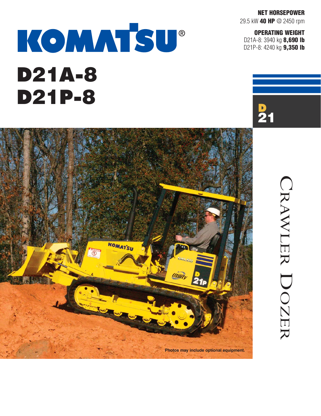**NET HORSEPOWER** 29.5 kW **40 HP** @ 2450 rpm

**OPERATING WEIGHT** D21A-8: 3940 kg **8,690 lb** D21P-8: 4240 kg **9,350 lb**

# KOMMTSU® D21A-8 D21P-8



CRAWLER CRAWLER DOZER DOZER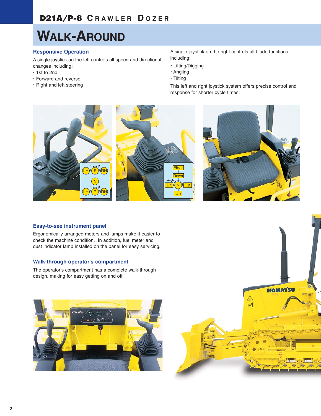# **WALK-AROUND**

# **Responsive Operation**

A single joystick on the left controls all speed and directional changes including:

- **•** 1st to 2nd
- **•** Forward and reverse
- **•** Right and left steering

A single joystick on the right controls all blade functions including:

- **•** Lifting/Digging
- **•** Angling
- **•** Tilting

This left and right joystick system offers precise control and response for shorter cycle times.



## **Easy-to-see instrument panel**

Ergonomically arranged meters and lamps make it easier to check the machine condition. In addition, fuel meter and dust indicator lamp installed on the panel for easy servicing.

# **Walk-through operator's compartment**

The operator's compartment has a complete walk-through design, making for easy getting on and off.



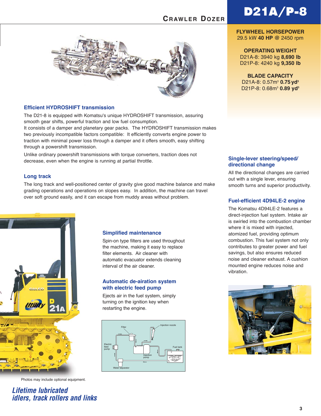# D21A/P-8





# **Efficient HYDROSHIFT transmission**

The D21-8 is equipped with Komatsu's unique HYDROSHIFT transmission, assuring smooth gear shifts, powerful traction and low fuel consumption. It consists of a damper and planetary gear packs. The HYDROSHIFT transmission makes two previously incompatible factors compatible: It efficiently converts engine power to traction with minimal power loss through a damper and it offers smooth, easy shifting through a powershift transmission.

Unlike ordinary powershift transmissions with torque converters, traction does not decrease, even when the engine is running at partial throttle.

## **Long track**

The long track and well-positioned center of gravity give good machine balance and make grading operations and operations on slopes easy. In addition, the machine can travel over soft ground easily, and it can escape from muddy areas without problem.



Photos may include optional equipment.

**Lifetime lubricated idlers, track rollers and links**

#### **Simplified maintenance**

Spin-on type filters are used throughout the machine, making it easy to replace filter elements. Air cleaner with automatic evacuator extends cleaning interval of the air cleaner.

## **Automatic de-airation system with electric feed pump**

Ejects air in the fuel system, simply turning on the ignition key when restarting the engine.



## **FLYWHEEL HORSEPOWER** 29.5 kW **40 HP @** 2450 rpm

**OPERATING WEIGHT** D21A-8: 3940 kg **8,690 lb** D21P-8: 4240 kg **9,350 lb**

**BLADE CAPACITY** D21A-8: 0.57m<sup>3</sup> 0.75 yd<sup>3</sup> D21P-8: 0.68m<sup>3</sup> 0.89 yd<sup>3</sup>

## **Single-lever steering/speed/ directional change**

All the directional changes are carried out with a single lever, ensuring smooth turns and superior productivity.

## **Fuel-efficient 4D94LE-2 engine**

The Komatsu 4D94LE-2 features a direct-injection fuel system. Intake air is swirled into the combustion chamber where it is mixed with injected. atomized fuel, providing optimum combustion. This fuel system not only contributes to greater power and fuel savings, but also ensures reduced noise and cleaner exhaust. A cushion mounted engine reduces noise and vibration.

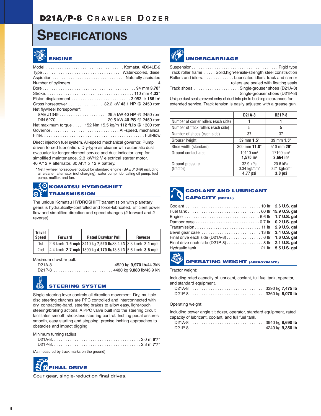# **SPECIFICATIONS**



|                           | TypeWater-cooled, diesel                                 |
|---------------------------|----------------------------------------------------------|
|                           |                                                          |
|                           |                                                          |
|                           |                                                          |
|                           |                                                          |
|                           |                                                          |
|                           | Gross horsepower 32.2 kW 43.1 HP @ 2450 rpm              |
| Net flywheel horsepower*: |                                                          |
|                           |                                                          |
|                           |                                                          |
|                           | Net maximum torque 152 Nm 15.5 kg/m 112 ft.lb @ 1300 rpm |
|                           |                                                          |
|                           |                                                          |

Direct injection fuel system. All-speed mechanical governor. Pump driven forced lubrication. Dry-type air cleaner with automatic dust evacuator for longer element service and dust indicator lamp for simplified maintenance. 2.3 kW/12 V electrical starter motor. 40 A/12 V alternator. 80 Ah/1 x 12 V battery.

\* Net flywheel horsepower output for standard engine (SAE J1349) including air cleaner, alternator (not charging), water pump, lubricating oil pump, fuel pump, muffler, and fan.

#### **WE KOMATSU HYDROSHIFT TRANSMISSION**  $\boldsymbol{\odot}$

The unique Komatsu HYDROSHIFT transmission with planetary gears is hydraulically-controlled and force-lubricated. Efficient power flow and simplified direction and speed changes (2 forward and 2 reverse).

| <b>Travel</b><br>Speed | Forward | <b>Rated Drawbar Pull</b>                                   | <b>Reverse</b> |
|------------------------|---------|-------------------------------------------------------------|----------------|
| 1st                    |         | 2.6 km/h 1.6 mph 3410 kg 7,520 lb/33.4 kN 3.3 km/h 2.1 mph  |                |
| 2nd                    |         | 14.4 km/h 2.7 mph 1890 kg 4,170 lb/18.5 kN 5.6 km/h 3.5 mph |                |

Maximum drawbar pull:

D21A-8 . . . . . . . . . . . . . . . . . . . . . . . . . . . 4520 kg **9,970 lb**/44.3kN

D21P-8 . . . . . . . . . . . . . . . . . . . . . . . . . . 4480 kg **9,880 lb**/43.9 kN



# **STEERING SYSTEM**

Single steering lever controls all direction movement. Dry, multipledisc steering clutches are PPC controlled and interconnected with dry, contracting-band, steering brakes to allow easy, light-touch steering/braking actions. A PPC valve built into the steering circuit facilitates smooth shockless steering control. Inching pedal assures smooth, easy starting and stopping, precise inching approaches to obstacles and impact digging.

Minimum turning radius:

(As measured by track marks on the ground)



Spur gear, single-reduction final drives.



# **UNDERCARRIAGE**

| Track roller frame  Solid, high-tensile-strength steel construction |
|---------------------------------------------------------------------|
| Rollers and idlers Lubricated idlers, track and carrier             |
| rollers are sealed with floating seals                              |
| Track shoes  Single-grouser shoes (D21A-8)                          |
| Single-grouser shoes (D21P-8)                                       |
|                                                                     |

Unique dust seals prevent entry of dust into pin-to-bushing clearances for extended service. Track tension is easily adjusted with a grease gun.

|                                       | D21A-8                                             | D21P-8                                                       |
|---------------------------------------|----------------------------------------------------|--------------------------------------------------------------|
| Number of carrier rollers (each side) |                                                    |                                                              |
| Number of track rollers (each side)   | 5                                                  | 5                                                            |
| Number of shoes (each side)           | 37                                                 | 37                                                           |
| Grouser height                        | 39 mm 1.5"                                         | 39 mm 1.5"                                                   |
| Shoe width (standard)                 | 300 mm 11.8"                                       | 510 mm 20"                                                   |
| Ground contact area                   | 10110 $cm2$<br>$1,570$ in <sup>2</sup>             | 17190 $cm2$<br>$2,664$ in <sup>2</sup>                       |
| Ground pressure<br>(tractor)          | 32.9 kPa<br>$0.34$ kgf/cm <sup>2</sup><br>4.77 psi | 20.6 kPa<br>$0.21$ kgf/cm <sup>2</sup><br>3.0 <sub>psi</sub> |

# **COOLANT AND LUBRICANT CAPACITY (REFILL)**

| Transmission 11 ltr 2.9 U.S. gal                  |  |
|---------------------------------------------------|--|
|                                                   |  |
|                                                   |  |
| Final drive each side (D21P-8) 8 ltr 2.1 U.S. gal |  |
|                                                   |  |



#### **OPERATING WEIGHT (APPROXIMATE)**

Tractor weight:

Including rated capacity of lubricant, coolant, full fuel tank, operator, and standard equipment.

#### Operating weight:

Including power angle tilt dozer, operator, standard equipment, rated capacity of lubricant, coolant, and full fuel tank.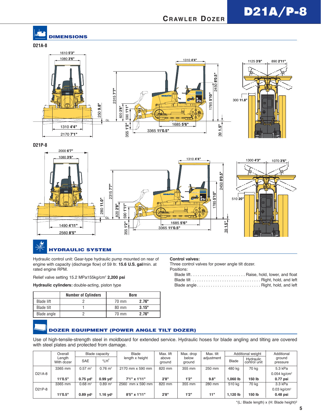# D21A/P-8

# **CRAWLER DOZER**

# **DIMENSIONS**





**D21P-8**



# **HYDRAULIC SYSTEM**

Hydraulic control unit: Gear-type hydraulic pump mounted on rear of engine with capacity (discharge flow) of 59 ltr. **15.6 U.S. gal**/min. at rated engine RPM.

Relief valve setting 15.2 MPa155kg/cm2 **2,200 psi**

**Hydraulic cylinders:** double-acting, piston type

|                   | <b>Number of Cylinders</b> | <b>Bore</b>     |       |
|-------------------|----------------------------|-----------------|-------|
| <b>Blade lift</b> |                            | 70 mm           | 2.76" |
| Blade tilt        |                            | $80 \text{ mm}$ | 3.15" |
| Blade angle       |                            | 70 mm           | 2.76" |

#### **Control valves:**

Three control valves for power angle tilt dozer.

Positions:

# **DOZER EQUIPMENT (POWER ANGLE TILT DOZER)**

Use of high-tensile-strength steel in moldboard for extended service. Hydraulic hoses for blade angling and tilting are covered with steel plates and protected from damage.

|        | Overall              |                        | Blade capacity         | Blade                 | Max. lift       | Max. drop       | Max. tilt  |            | Additional weight         | Additional                |
|--------|----------------------|------------------------|------------------------|-----------------------|-----------------|-----------------|------------|------------|---------------------------|---------------------------|
|        | Lenath<br>With dozer | <b>SAE</b>             | *LH <sup>2</sup>       | length x height       | above<br>ground | below<br>ground | adjustment | Blade      | Hydraulic<br>control unit | ground<br>pressure        |
|        | 3365 mm              | $0.57 \text{ m}^3$     | $0.76 \text{ m}^3$     | 2170 mm x 590 mm      | 820 mm          | 355 mm          | 250 mm     | 480 ka     | 70 kg                     | 5.3 kPa                   |
| D21A-8 |                      |                        |                        |                       |                 |                 |            |            |                           | $0.054 \text{ kg/cm}^2$   |
|        | 11'0.5"              | $0.75$ vd <sup>3</sup> | $0.99$ yd <sup>3</sup> | $7'1''$ x $1'11''$    | 2'8"            | 1'2"            | 9.8"       | 1.060 lb   | 150 lb                    | $0.77$ psi                |
|        | 3365 mm              | $0.68 \text{ m}^3$     | $0.89 \text{ m}^3$     | 2560 mm x 590 mm      | 820 mm          | 355 mm          | 280 mm     | 510 ka     | 70 kg                     | 3.3 kPa                   |
| D21P-8 |                      |                        |                        |                       |                 |                 |            |            |                           | $0.03$ kg/cm <sup>2</sup> |
|        | 11'0.5"              | $0.89$ vd <sup>3</sup> | $1.16$ yd <sup>3</sup> | $8'5'' \times 1'11''$ | 2'8"            | 1'2"            | 11"        | $1.120$ lb | 150 lb                    | $0.48$ psi                |

\*(L: Blade length) x (H: Blade height)2